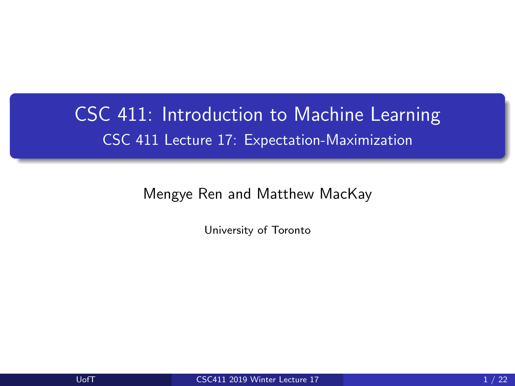# <span id="page-0-0"></span>CSC 411: Introduction to Machine Learning CSC 411 Lecture 17: Expectation-Maximization

Mengye Ren and Matthew MacKay

University of Toronto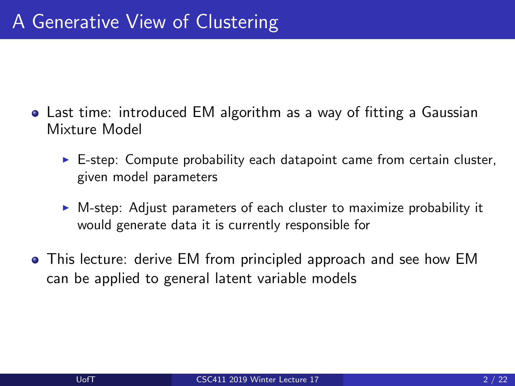- Last time: introduced EM algorithm as a way of fitting a Gaussian Mixture Model
	- $\triangleright$  E-step: Compute probability each datapoint came from certain cluster, given model parameters
	- $\triangleright$  M-step: Adjust parameters of each cluster to maximize probability it would generate data it is currently responsible for
- This lecture: derive EM from principled approach and see how EM can be applied to general latent variable models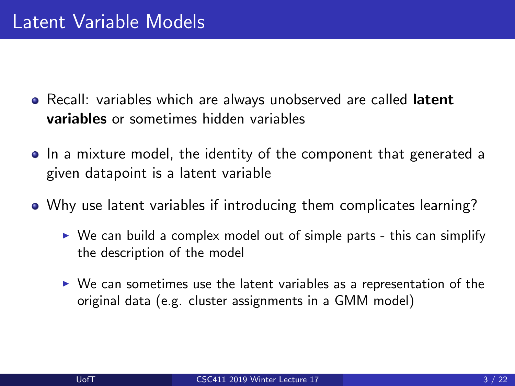- Recall: variables which are always unobserved are called latent variables or sometimes hidden variables
- In a mixture model, the identity of the component that generated a given datapoint is a latent variable
- Why use latent variables if introducing them complicates learning?
	- $\triangleright$  We can build a complex model out of simple parts this can simplify the description of the model
	- $\triangleright$  We can sometimes use the latent variables as a representation of the original data (e.g. cluster assignments in a GMM model)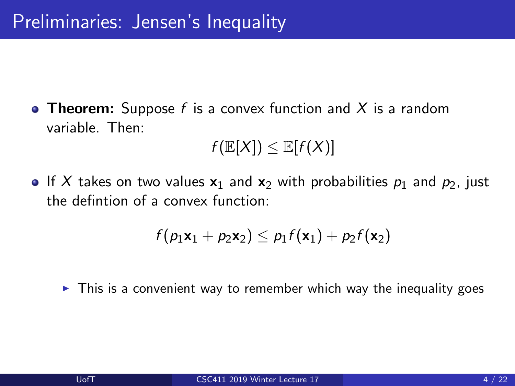**• Theorem:** Suppose f is a convex function and X is a random variable. Then:

$$
f(\mathbb{E}[X]) \leq \mathbb{E}[f(X)]
$$

If X takes on two values  $x_1$  and  $x_2$  with probabilities  $p_1$  and  $p_2$ , just the defintion of a convex function:

$$
f(p_1\mathbf{x}_1 + p_2\mathbf{x}_2) \leq p_1f(\mathbf{x}_1) + p_2f(\mathbf{x}_2)
$$

 $\triangleright$  This is a convenient way to remember which way the inequality goes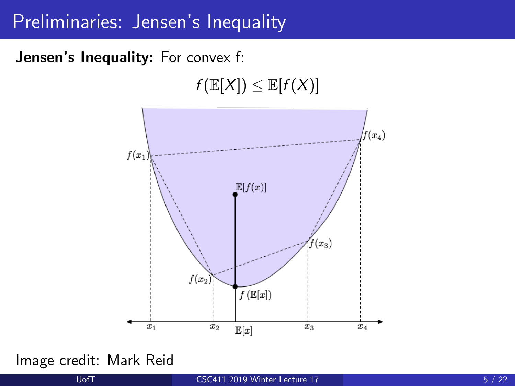#### Preliminaries: Jensen's Inequality

Jensen's Inequality: For convex f:

 $f(\mathbb{E}[X]) \leq \mathbb{E}[f(X)]$ 



Image credit: Mark Reid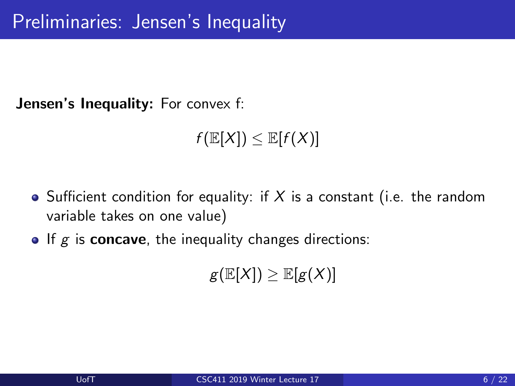**Jensen's Inequality:** For convex f:

 $f(\mathbb{E}[X]) \leq \mathbb{E}[f(X)]$ 

- Sufficient condition for equality: if X is a constant (i.e. the random variable takes on one value)
- $\bullet$  If g is concave, the inequality changes directions:

 $g(E[X]) \geq E[g(X)]$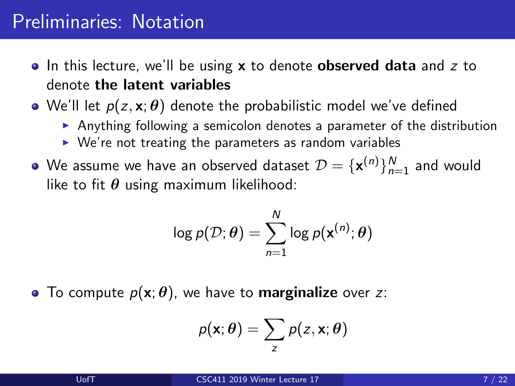### Preliminaries: Notation

- $\bullet$  In this lecture, we'll be using **x** to denote **observed data** and z to denote the latent variables
- We'll let  $p(z, x; \theta)$  denote the probabilistic model we've defined
	- Anything following a semicolon denotes a parameter of the distribution
	- $\triangleright$  We're not treating the parameters as random variables
- We assume we have an observed dataset  $\mathcal{D} = \{\mathbf{x}^{(n)}\}_{n=1}^N$  and would like to fit  $\theta$  using maximum likelihood:

$$
\log p(\mathcal{D}; \boldsymbol{\theta}) = \sum_{n=1}^{N} \log p(\mathbf{x}^{(n)}; \boldsymbol{\theta})
$$

• To compute  $p(x; \theta)$ , we have to **marginalize** over z:

$$
p(\mathbf{x};\boldsymbol{\theta})=\sum_{z}p(z,\mathbf{x};\boldsymbol{\theta})
$$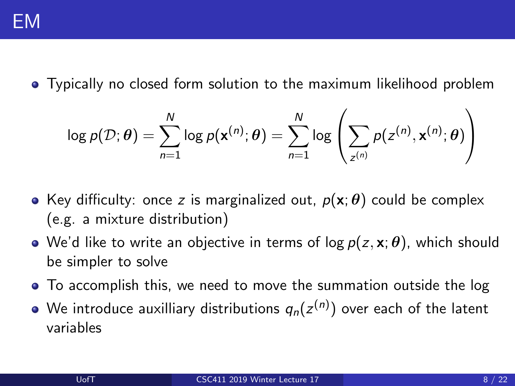

Typically no closed form solution to the maximum likelihood problem

$$
\log p(\mathcal{D}; \boldsymbol{\theta}) = \sum_{n=1}^{N} \log p(\mathbf{x}^{(n)}; \boldsymbol{\theta}) = \sum_{n=1}^{N} \log \left( \sum_{z^{(n)}} p(z^{(n)}, \mathbf{x}^{(n)}; \boldsymbol{\theta}) \right)
$$

- Key difficulty: once z is marginalized out,  $p(x; \theta)$  could be complex (e.g. a mixture distribution)
- We'd like to write an objective in terms of log  $p(z, x; \theta)$ , which should be simpler to solve
- To accomplish this, we need to move the summation outside the log
- We introduce auxilliary distributions  $q_{n}(z^{(n)})$  over each of the latent variables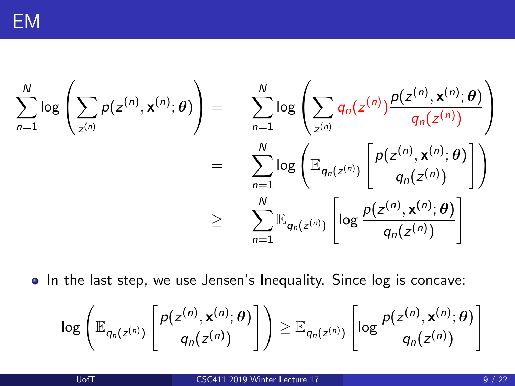$$
\sum_{n=1}^{N} \log \left( \sum_{z^{(n)}} p(z^{(n)}, \mathbf{x}^{(n)}; \theta) \right) = \sum_{n=1}^{N} \log \left( \sum_{z^{(n)}} q_n(z^{(n)}) \frac{p(z^{(n)}, \mathbf{x}^{(n)}; \theta)}{q_n(z^{(n)})} \right)
$$

$$
= \sum_{n=1}^{N} \log \left( \mathbb{E}_{q_n(z^{(n)})} \left[ \frac{p(z^{(n)}, \mathbf{x}^{(n)}; \theta)}{q_n(z^{(n)})} \right] \right)
$$

$$
\geq \sum_{n=1}^{N} \mathbb{E}_{q_n(z^{(n)})} \left[ \log \frac{p(z^{(n)}, \mathbf{x}^{(n)}; \theta)}{q_n(z^{(n)})} \right]
$$

• In the last step, we use Jensen's Inequality. Since log is concave:

$$
\log\left(\mathbb{E}_{q_n(z^{(n)})}\left[\frac{p(z^{(n)},\mathbf{x}^{(n)};\theta)}{q_n(z^{(n)})}\right]\right)\geq \mathbb{E}_{q_n(z^{(n)})}\left[\log\frac{p(z^{(n)},\mathbf{x}^{(n)};\theta)}{q_n(z^{(n)})}\right]
$$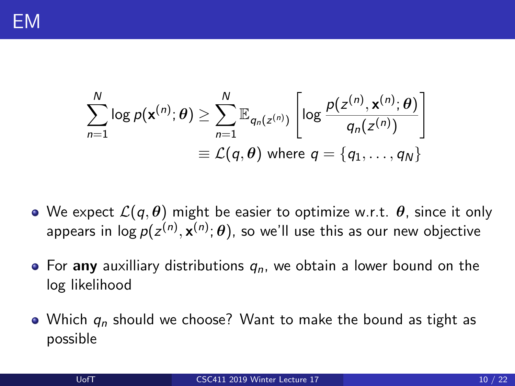$$
\sum_{n=1}^{N} \log p(\mathbf{x}^{(n)}; \theta) \ge \sum_{n=1}^{N} \mathbb{E}_{q_n(z^{(n)})} \left[ \log \frac{p(z^{(n)}, \mathbf{x}^{(n)}; \theta)}{q_n(z^{(n)})} \right]
$$

$$
\equiv \mathcal{L}(q, \theta) \text{ where } q = \{q_1, \dots, q_N\}
$$

- We expect  $\mathcal{L}(q, \theta)$  might be easier to optimize w.r.t.  $\theta$ , since it only appears in log  $p(z^{(n)},\mathbf{x}^{(n)};\boldsymbol{\theta})$ , so we'll use this as our new objective
- For any auxilliary distributions  $q_n$ , we obtain a lower bound on the log likelihood
- Which  $q_n$  should we choose? Want to make the bound as tight as possible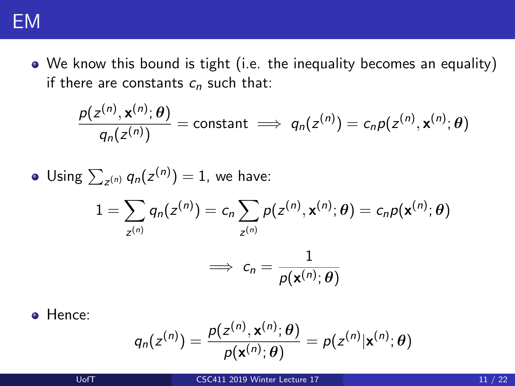

We know this bound is tight (i.e. the inequality becomes an equality) if there are constants  $c_n$  such that:

$$
\frac{p(z^{(n)},\mathbf{x}^{(n)};\boldsymbol{\theta})}{q_n(z^{(n)})} = \text{constant} \implies q_n(z^{(n)}) = c_n p(z^{(n)},\mathbf{x}^{(n)};\boldsymbol{\theta})
$$

• Using 
$$
\sum_{z^{(n)}} q_n(z^{(n)}) = 1
$$
, we have:  
\n
$$
1 = \sum_{z^{(n)}} q_n(z^{(n)}) = c_n \sum_{z^{(n)}} p(z^{(n)}, \mathbf{x}^{(n)}; \theta) = c_n p(\mathbf{x}^{(n)}; \theta)
$$
\n
$$
\implies c_n = \frac{1}{p(\mathbf{x}^{(n)}; \theta)}
$$

**o** Hence:

$$
q_n(z^{(n)}) = \frac{p(z^{(n)}, \mathbf{x}^{(n)}; \theta)}{p(\mathbf{x}^{(n)}; \theta)} = p(z^{(n)} | \mathbf{x}^{(n)}; \theta)
$$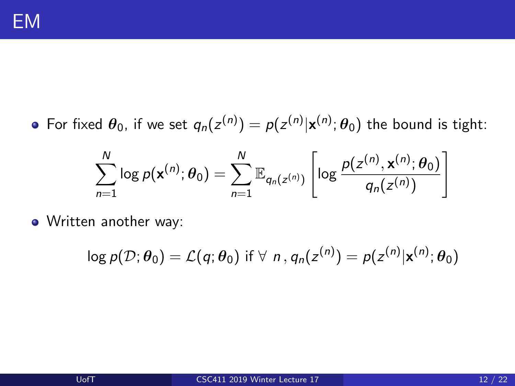For fixed  $\bm{\theta}_0$ , if we set  $q_n(z^{(n)}) = p(z^{(n)}|\mathbf{x}^{(n)};\bm{\theta}_0)$  the bound is tight:

$$
\sum_{n=1}^N \log p(\mathbf{x}^{(n)}; \theta_0) = \sum_{n=1}^N \mathbb{E}_{q_n(z^{(n)})} \left[ \log \frac{p(z^{(n)}, \mathbf{x}^{(n)}; \theta_0)}{q_n(z^{(n)})} \right]
$$

Written another way:

$$
\log p(\mathcal{D}; \theta_0) = \mathcal{L}(q; \theta_0) \text{ if } \forall n, q_n(z^{(n)}) = p(z^{(n)}|\mathbf{x}^{(n)}; \theta_0)
$$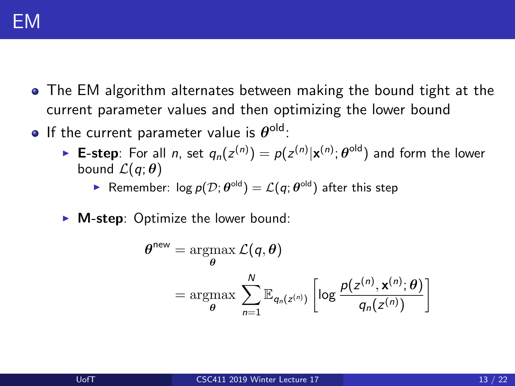

- The EM algorithm alternates between making the bound tight at the current parameter values and then optimizing the lower bound
- If the current parameter value is  $\boldsymbol{\theta}^{\text{old}}$ :
	- ► E-step: For all *n*, set  $q_n(z^{(n)}) = p(z^{(n)}|\mathbf{x}^{(n)};\boldsymbol{\theta}^{\text{old}})$  and form the lower bound  $\mathcal{L}(q;\theta)$

Remember:  $\log p(\mathcal{D}; \theta^{\text{old}}) = \mathcal{L}(q; \theta^{\text{old}})$  after this step

 $\triangleright$  **M-step**: Optimize the lower bound:

θ

$$
\begin{aligned}\n\mathsf{new} &= \underset{\boldsymbol{\theta}}{\operatorname{argmax}} \ \mathcal{L}(\boldsymbol{q}, \boldsymbol{\theta}) \\
&= \underset{\boldsymbol{\theta}}{\operatorname{argmax}} \ \sum_{n=1}^{N} \mathbb{E}_{q_n(z^{(n)})} \left[ \log \frac{p(z^{(n)}, \mathbf{x}^{(n)}; \boldsymbol{\theta})}{q_n(z^{(n)})} \right]\n\end{aligned}
$$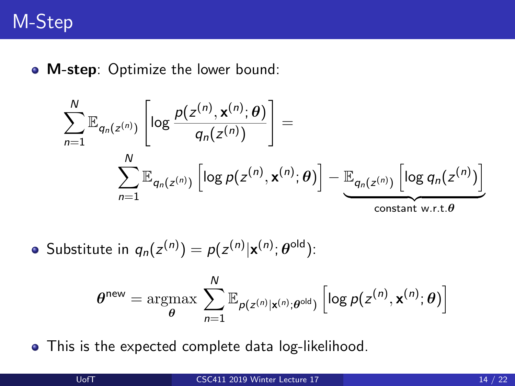# M-Step

• M-step: Optimize the lower bound:

$$
\sum_{n=1}^{N} \mathbb{E}_{q_n(z^{(n)})} \left[ \log \frac{p(z^{(n)}, \mathbf{x}^{(n)}; \theta)}{q_n(z^{(n)})} \right] = \sum_{n=1}^{N} \mathbb{E}_{q_n(z^{(n)})} \left[ \log p(z^{(n)}, \mathbf{x}^{(n)}; \theta) \right] - \underbrace{\mathbb{E}_{q_n(z^{(n)})} \left[ \log q_n(z^{(n)}) \right]}_{\text{constant w.r.t. } \theta}
$$

• Substitute in 
$$
q_n(z^{(n)}) = p(z^{(n)}|\mathbf{x}^{(n)};\theta^{\text{old}})
$$
:

$$
\boldsymbol{\theta}^{\text{new}} = \operatorname*{argmax}_{\boldsymbol{\theta}} \, \sum_{n=1}^{N} \mathbb{E}_{p(z^{(n)}|\mathbf{x}^{(n)};\boldsymbol{\theta}^{\text{old}})} \left[ \log p(z^{(n)}, \mathbf{x}^{(n)}; \boldsymbol{\theta}) \right]
$$

• This is the expected complete data log-likelihood.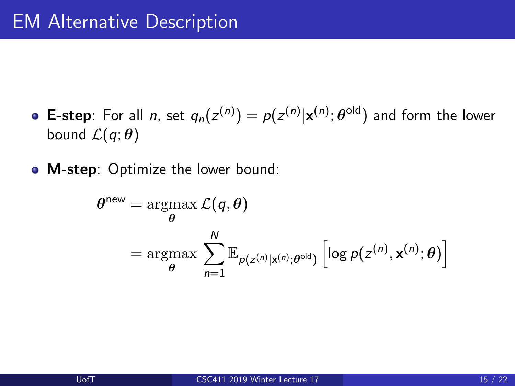- **E**-step: For all *n*, set  $q_n(z^{(n)}) = p(z^{(n)}|\mathbf{x}^{(n)};\boldsymbol{\theta}^{\text{old}})$  and form the lower bound  $\mathcal{L}(q;\theta)$
- M-step: Optimize the lower bound:

$$
\theta^{\text{new}} = \underset{\theta}{\operatorname{argmax}} \mathcal{L}(q, \theta)
$$

$$
= \underset{\theta}{\operatorname{argmax}} \sum_{n=1}^{N} \mathbb{E}_{p(z^{(n)}|\mathbf{x}^{(n)};\theta^{\text{old}})} \left[ \log p(z^{(n)}, \mathbf{x}^{(n)}; \theta) \right]
$$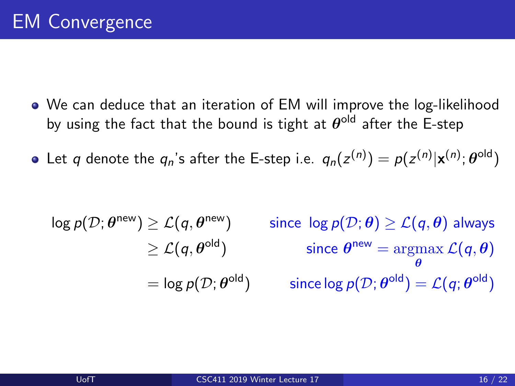- We can deduce that an iteration of EM will improve the log-likelihood by using the fact that the bound is tight at  $\theta^{\text{old}}$  after the E-step
- Let  $q$  denote the  $q_n$ 's after the E-step i.e.  $q_n(z^{(n)}) = \rho(z^{(n)} | \mathbf{x}^{(n)}; \boldsymbol{\theta}^{\text{old}})$

$$
\log p(\mathcal{D}; \theta^{\text{new}}) \ge \mathcal{L}(q, \theta^{\text{new}}) \qquad \text{since } \log p(\mathcal{D}; \theta) \ge \mathcal{L}(q, \theta) \text{ always}
$$

$$
\ge \mathcal{L}(q, \theta^{\text{old}}) \qquad \text{since } \theta^{\text{new}} = \underset{\theta}{\text{argmax }} \mathcal{L}(q, \theta)
$$

$$
= \log p(\mathcal{D}; \theta^{\text{old}}) \qquad \text{since } \log p(\mathcal{D}; \theta^{\text{old}}) = \mathcal{L}(q; \theta^{\text{old}})
$$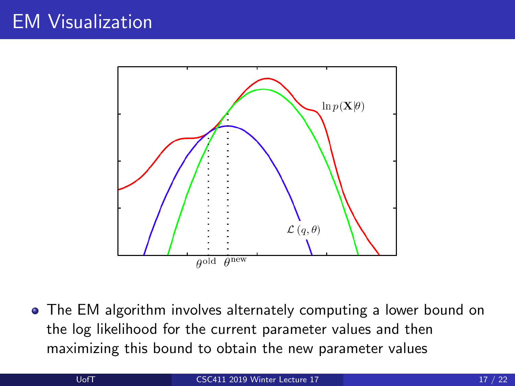# EM Visualization



The EM algorithm involves alternately computing a lower bound on the log likelihood for the current parameter values and then maximizing this bound to obtain the new parameter values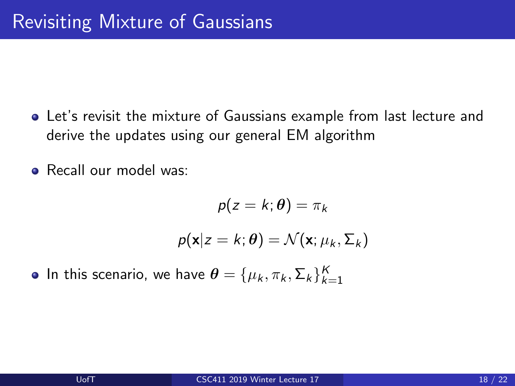Let's revisit the mixture of Gaussians example from last lecture and derive the updates using our general EM algorithm

• Recall our model was:

$$
p(z = k; \theta) = \pi_k
$$

$$
p(\mathbf{x}|z = k; \theta) = \mathcal{N}(\mathbf{x}; \mu_k, \Sigma_k)
$$

In this scenario, we have  $\boldsymbol{\theta} = \{\mu_k, \pi_k, \Sigma_k\}_{k=1}^K$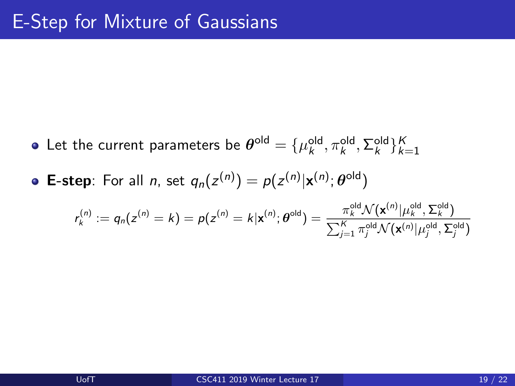- Let the current parameters be  $\boldsymbol{\theta}^{\text{old}}=\{\mu_k^{\text{old}},\pi_k^{\text{old}},\Sigma_k^{\text{old}}\}_{k=1}^K$
- **E-step**: For all *n*, set  $q_n(z^{(n)}) = p(z^{(n)}|\mathbf{x}^{(n)};\boldsymbol{\theta}^{\text{old}})$

$$
r_k^{(n)} := q_n(z^{(n)} = k) = p(z^{(n)} = k | \mathbf{x}^{(n)}; \boldsymbol{\theta}^{\text{old}}) = \frac{\pi_k^{\text{old}} \mathcal{N}(\mathbf{x}^{(n)} | \mu_k^{\text{old}}, \boldsymbol{\Sigma}_k^{\text{old}})}{\sum_{j=1}^K \pi_j^{\text{old}} \mathcal{N}(\mathbf{x}^{(n)} | \mu_j^{\text{old}}, \boldsymbol{\Sigma}_j^{\text{old}})}
$$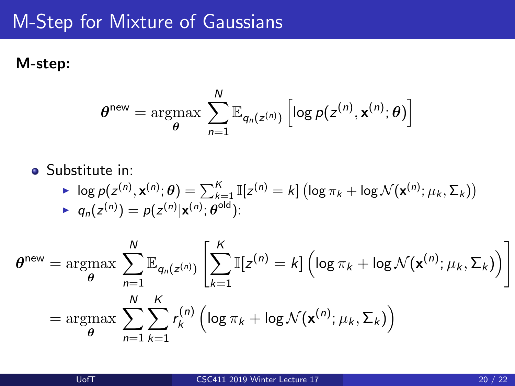# M-Step for Mixture of Gaussians

#### M-step:

$$
\boldsymbol{\theta}^{\text{new}} = \operatorname*{argmax}_{\boldsymbol{\theta}} \sum_{n=1}^{N} \mathbb{E}_{q_n(z^{(n)})} \left[ \log p(z^{(n)}, \mathbf{x}^{(n)}; \boldsymbol{\theta}) \right]
$$

**•** Substitute in:

$$
\log p(z^{(n)}, \mathbf{x}^{(n)}; \theta) = \sum_{k=1}^{K} \mathbb{I}[z^{(n)} = k] \left(\log \pi_k + \log \mathcal{N}(\mathbf{x}^{(n)}; \mu_k, \Sigma_k)\right)
$$
  
 
$$
q_n(z^{(n)}) = p(z^{(n)}|\mathbf{x}^{(n)}; \theta^{\text{old}}):
$$

$$
\theta^{\text{new}} = \underset{\theta}{\operatorname{argmax}} \sum_{n=1}^{N} \mathbb{E}_{q_n(z^{(n)})} \left[ \sum_{k=1}^{K} \mathbb{I}[z^{(n)} = k] \left( \log \pi_k + \log \mathcal{N}(\mathbf{x}^{(n)}; \mu_k, \Sigma_k) \right) \right]
$$

$$
= \underset{\theta}{\operatorname{argmax}} \sum_{n=1}^{N} \sum_{k=1}^{K} r_k^{(n)} \left( \log \pi_k + \log \mathcal{N}(\mathbf{x}^{(n)}; \mu_k, \Sigma_k) \right)
$$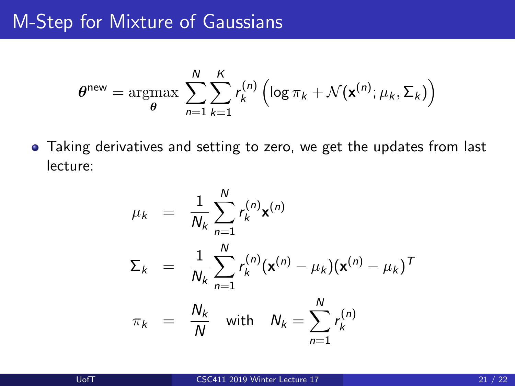#### M-Step for Mixture of Gaussians

$$
\theta^{\text{new}} = \operatorname*{argmax}_{\theta} \sum_{n=1}^{N} \sum_{k=1}^{K} r_k^{(n)} \left( \log \pi_k + \mathcal{N}(\mathbf{x}^{(n)}; \mu_k, \Sigma_k) \right)
$$

Taking derivatives and setting to zero, we get the updates from last lecture:

$$
\mu_k = \frac{1}{N_k} \sum_{n=1}^N r_k^{(n)} \mathbf{x}^{(n)}
$$
  
\n
$$
\Sigma_k = \frac{1}{N_k} \sum_{n=1}^N r_k^{(n)} (\mathbf{x}^{(n)} - \mu_k) (\mathbf{x}^{(n)} - \mu_k)^T
$$
  
\n
$$
\pi_k = \frac{N_k}{N} \text{ with } N_k = \sum_{n=1}^N r_k^{(n)}
$$